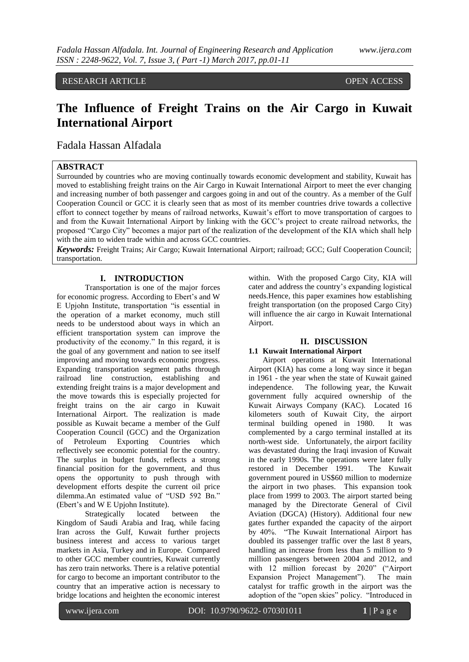RESEARCH ARTICLE **OPEN ACCESS** 

# **The Influence of Freight Trains on the Air Cargo in Kuwait International Airport**

### Fadala Hassan Alfadala

### **ABSTRACT**

Surrounded by countries who are moving continually towards economic development and stability, Kuwait has moved to establishing freight trains on the Air Cargo in Kuwait International Airport to meet the ever changing and increasing number of both passenger and cargoes going in and out of the country. As a member of the Gulf Cooperation Council or GCC it is clearly seen that as most of its member countries drive towards a collective effort to connect together by means of railroad networks, Kuwait's effort to move transportation of cargoes to and from the Kuwait International Airport by linking with the GCC's project to create railroad networks, the proposed "Cargo City" becomes a major part of the realization of the development of the KIA which shall help with the aim to widen trade within and across GCC countries.

*Keywords:* Freight Trains; Air Cargo; Kuwait International Airport; railroad; GCC; Gulf Cooperation Council; transportation.

### **I. INTRODUCTION**

Transportation is one of the major forces for economic progress. According to Ebert's and W E Upjohn Institute, transportation "is essential in the operation of a market economy, much still needs to be understood about ways in which an efficient transportation system can improve the productivity of the economy." In this regard, it is the goal of any government and nation to see itself improving and moving towards economic progress. Expanding transportation segment paths through railroad line construction, establishing and extending freight trains is a major development and the move towards this is especially projected for freight trains on the air cargo in Kuwait International Airport. The realization is made possible as Kuwait became a member of the Gulf Cooperation Council (GCC) and the Organization of Petroleum Exporting Countries which reflectively see economic potential for the country. The surplus in budget funds, reflects a strong financial position for the government, and thus opens the opportunity to push through with development efforts despite the current oil price dilemma.An estimated value of "USD 592 Bn." (Ebert's and W E Upjohn Institute).

Strategically located between the Kingdom of Saudi Arabia and Iraq, while facing Iran across the Gulf, Kuwait further projects business interest and access to various target markets in Asia, Turkey and in Europe. Compared to other GCC member countries, Kuwait currently has zero train networks. There is a relative potential for cargo to become an important contributor to the country that an imperative action is necessary to bridge locations and heighten the economic interest

within. With the proposed Cargo City, KIA will cater and address the country's expanding logistical needs.Hence, this paper examines how establishing freight transportation (on the proposed Cargo City) will influence the air cargo in Kuwait International Airport.

### **II. DISCUSSION**

### **1.1 Kuwait International Airport**

Airport operations at Kuwait International Airport (KIA) has come a long way since it began in 1961 - the year when the state of Kuwait gained independence. The following year, the Kuwait government fully acquired ownership of the Kuwait Airways Company (KAC). Located 16 kilometers south of Kuwait City, the airport terminal building opened in 1980. It was complemented by a cargo terminal installed at its north-west side. Unfortunately, the airport facility was devastated during the Iraqi invasion of Kuwait in the early 1990s. The operations were later fully restored in December 1991. The Kuwait government poured in US\$60 million to modernize the airport in two phases. This expansion took place from 1999 to 2003. The airport started being managed by the Directorate General of Civil Aviation (DGCA) (History). Additional four new gates further expanded the capacity of the airport by 40%. 
"The Kuwait International Airport has doubled its passenger traffic over the last 8 years, handling an increase from less than 5 million to 9 million passengers between 2004 and 2012, and with 12 million forecast by 2020" ("Airport Expansion Project Management"). The main catalyst for traffic growth in the airport was the adoption of the "open skies" policy. "Introduced in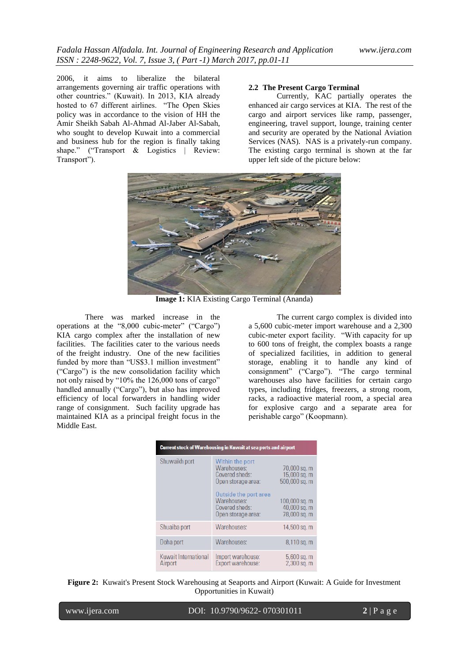2006, it aims to liberalize the bilateral arrangements governing air traffic operations with other countries." (Kuwait). In 2013, KIA already hosted to 67 different airlines. "The Open Skies policy was in accordance to the vision of HH the Amir Sheikh Sabah Al-Ahmad Al-Jaber Al-Sabah, who sought to develop Kuwait into a commercial and business hub for the region is finally taking shape." ("Transport  $&$  Logistics | Review: Transport").

### **2.2 The Present Cargo Terminal**

Currently, KAC partially operates the enhanced air cargo services at KIA. The rest of the cargo and airport services like ramp, passenger, engineering, travel support, lounge, training center and security are operated by the National Aviation Services (NAS). NAS is a privately-run company. The existing cargo terminal is shown at the far upper left side of the picture below:



**Image 1:** KIA Existing Cargo Terminal (Ananda)

There was marked increase in the operations at the "8,000 cubic-meter" ("Cargo") KIA cargo complex after the installation of new facilities. The facilities cater to the various needs of the freight industry. One of the new facilities funded by more than "US\$3.1 million investment" ("Cargo") is the new consolidation facility which not only raised by "10% the 126,000 tons of cargo" handled annually ("Cargo"), but also has improved efficiency of local forwarders in handling wider range of consignment. Such facility upgrade has maintained KIA as a principal freight focus in the Middle East.

The current cargo complex is divided into a 5,600 cubic-meter import warehouse and a 2,300 cubic-meter export facility. "With capacity for up to 600 tons of freight, the complex boasts a range of specialized facilities, in addition to general storage, enabling it to handle any kind of consignment" ("Cargo"). "The cargo terminal warehouses also have facilities for certain cargo types, including fridges, freezers, a strong room, racks, a radioactive material room, a special area for explosive cargo and a separate area for perishable cargo" (Koopmann).

| <b>Current stock of Warehousing in Kuwait at sea ports and airport</b> |                                                                                                                                                        |                                                                                                |  |  |
|------------------------------------------------------------------------|--------------------------------------------------------------------------------------------------------------------------------------------------------|------------------------------------------------------------------------------------------------|--|--|
| Shuwaikh port                                                          | Within the port<br>Warehouses:<br>Covered sheds:<br>Open storage area:<br>Outside the port area<br>Warehouses:<br>Covered sheds:<br>Open storage area: | 70,000 sq. m<br>15,000 sq. m<br>500,000 sq. m<br>100,000 sq. m<br>40,000 sq. m<br>78,000 sq. m |  |  |
| Shuaiba port                                                           | Warehouses:                                                                                                                                            | 14,500 sq. m                                                                                   |  |  |
| Doha port                                                              | Warehouses:                                                                                                                                            | $8,110$ sq. m                                                                                  |  |  |
| Kuwait International<br>Airport                                        | Import warehouse:<br>Export warehouse:                                                                                                                 | 5,600 sq. m<br>$2,300$ sq. m                                                                   |  |  |

**Figure 2:** Kuwait's Present Stock Warehousing at Seaports and Airport (Kuwait: A Guide for Investment Opportunities in Kuwait)

| www.ijera.com |
|---------------|

DOI: 10.9790/9622- 070301011 **2** | P a g e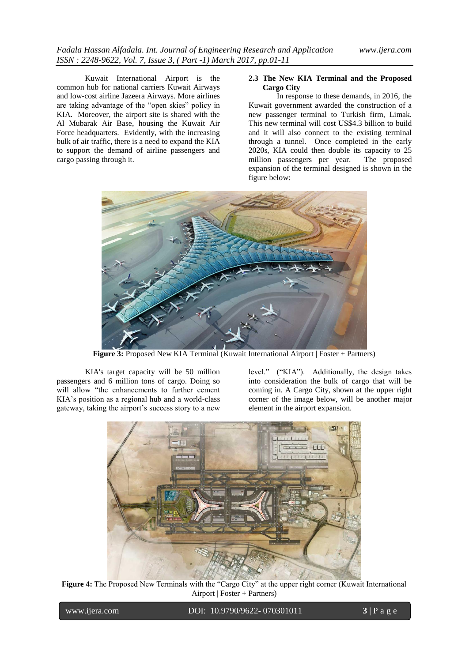Kuwait International Airport is the common hub for national carriers Kuwait Airways and low-cost airline Jazeera Airways. More airlines are taking advantage of the "open skies" policy in KIA. Moreover, the airport site is shared with the Al Mubarak Air Base, housing the Kuwait Air Force headquarters. Evidently, with the increasing bulk of air traffic, there is a need to expand the KIA to support the demand of airline passengers and cargo passing through it.

### **2.3 The New KIA Terminal and the Proposed Cargo City**

In response to these demands, in 2016, the Kuwait government awarded the construction of a new passenger terminal to Turkish firm, Limak. This new terminal will cost US\$4.3 billion to build and it will also connect to the existing terminal through a tunnel. Once completed in the early 2020s, KIA could then double its capacity to 25 million passengers per year. The proposed expansion of the terminal designed is shown in the figure below:



**Figure 3:** Proposed New KIA Terminal (Kuwait International Airport | Foster + Partners)

KIA's target capacity will be 50 million passengers and 6 million tons of cargo. Doing so will allow "the enhancements to further cement KIA's position as a regional hub and a world-class gateway, taking the airport's success story to a new

level." ("KIA"). Additionally, the design takes into consideration the bulk of cargo that will be coming in. A Cargo City, shown at the upper right corner of the image below, will be another major element in the airport expansion.



**Figure 4:** The Proposed New Terminals with the "Cargo City" at the upper right corner (Kuwait International Airport | Foster + Partners)

| www.ijera.com |
|---------------|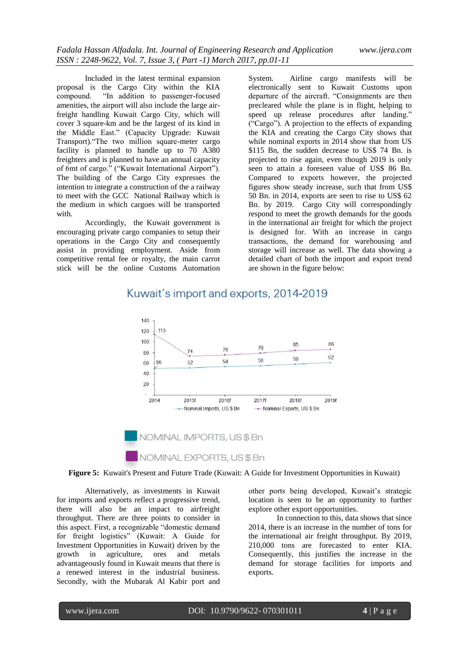Included in the latest terminal expansion proposal is the Cargo City within the KIA compound. ―In addition to passenger-focused amenities, the airport will also include the large airfreight handling Kuwait Cargo City, which will cover 3 square-km and be the largest of its kind in the Middle East." (Capacity Upgrade: Kuwait Transport). "The two million square-meter cargo facility is planned to handle up to 70 A380 freighters and is planned to have an annual capacity of 6mt of cargo." ("Kuwait International Airport"). The building of the Cargo City expresses the intention to integrate a construction of the a railway to meet with the GCC National Railway which is the medium in which cargoes will be transported with.

Accordingly, the Kuwait government is encouraging private cargo companies to setup their operations in the Cargo City and consequently assist in providing employment. Aside from competitive rental fee or royalty, the main carrot stick will be the online Customs Automation

System. Airline cargo manifests will be electronically sent to Kuwait Customs upon departure of the aircraft. "Consignments are then precleared while the plane is in flight, helping to speed up release procedures after landing.' (―Cargo‖). A projection to the effects of expanding the KIA and creating the Cargo City shows that while nominal exports in 2014 show that from US \$115 Bn, the sudden decrease to US\$ 74 Bn. is projected to rise again, even though 2019 is only seen to attain a foreseen value of US\$ 86 Bn. Compared to exports however, the projected figures show steady increase, such that from US\$ 50 Bn. in 2014, exports are seen to rise to US\$ 62 Bn. by 2019. Cargo City will correspondingly respond to meet the growth demands for the goods in the international air freight for which the project is designed for. With an increase in cargo transactions, the demand for warehousing and storage will increase as well. The data showing a detailed chart of both the import and export trend are shown in the figure below:

#### 140 120 115 100 85 86  $70$  $76$  $74$ 80 62 59 56  $52$ 54 60 50 40 20 2014 2015 2016 2017 2018 2019 -- Nominal Imports, US \$ Bn -- Nominal Exports, US \$ Bn

## Kuwait's import and exports, 2014-2019

**Figure 5:** Kuwait's Present and Future Trade (Kuwait: A Guide for Investment Opportunities in Kuwait)

NOMINAL IMPORTS, US\$Bn

NOMINAL EXPORTS, US\$Bn

Alternatively, as investments in Kuwait for imports and exports reflect a progressive trend, there will also be an impact to airfreight throughput. There are three points to consider in this aspect. First, a recognizable "domestic demand" for freight logistics" (Kuwait: A Guide for Investment Opportunities in Kuwait) driven by the growth in agriculture, ores and metals advantageously found in Kuwait means that there is a renewed interest in the industrial business. Secondly, with the Mubarak Al Kabir port and other ports being developed, Kuwait's strategic location is seen to be an opportunity to further explore other export opportunities.

In connection to this, data shows that since 2014, there is an increase in the number of tons for the international air freight throughput. By 2019, 210,000 tons are forecasted to enter KIA. Consequently, this justifies the increase in the demand for storage facilities for imports and exports.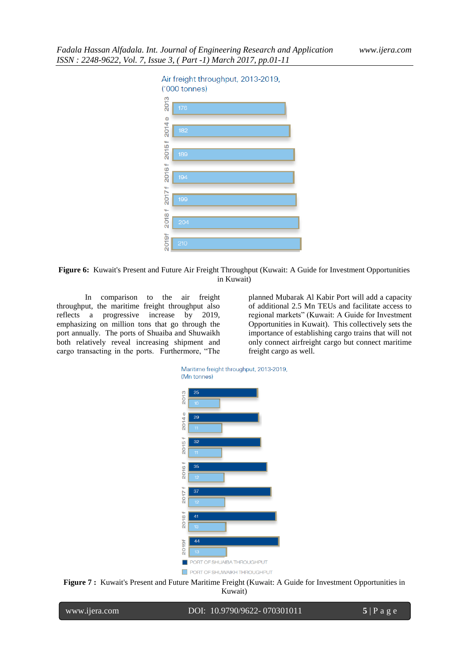



In comparison to the air freight throughput, the maritime freight throughput also reflects a progressive increase by 2019, emphasizing on million tons that go through the port annually. The ports of Shuaiba and Shuwaikh both relatively reveal increasing shipment and cargo transacting in the ports. Furthermore, "The

planned Mubarak Al Kabir Port will add a capacity of additional 2.5 Mn TEUs and facilitate access to regional markets" (Kuwait: A Guide for Investment Opportunities in Kuwait). This collectively sets the importance of establishing cargo trains that will not only connect airfreight cargo but connect maritime freight cargo as well.





| www.ijera.com |  | DOI: 10.9790/9622-070301011 | $5$   Page |
|---------------|--|-----------------------------|------------|
|---------------|--|-----------------------------|------------|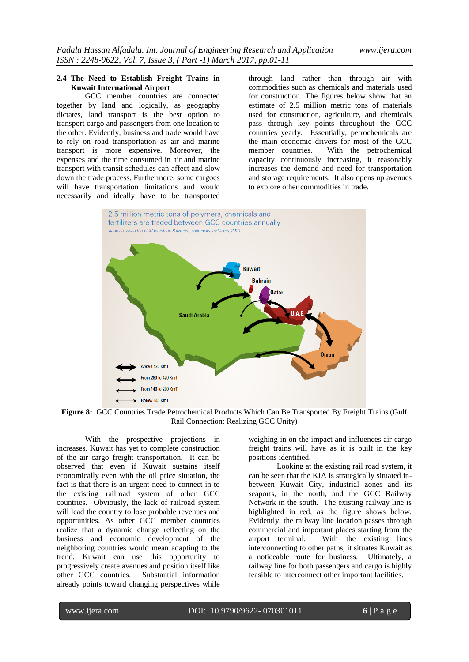### **2.4 The Need to Establish Freight Trains in Kuwait International Airport**

GCC member countries are connected together by land and logically, as geography dictates, land transport is the best option to transport cargo and passengers from one location to the other. Evidently, business and trade would have to rely on road transportation as air and marine transport is more expensive. Moreover, the expenses and the time consumed in air and marine transport with transit schedules can affect and slow down the trade process. Furthermore, some cargoes will have transportation limitations and would necessarily and ideally have to be transported through land rather than through air with commodities such as chemicals and materials used for construction. The figures below show that an estimate of 2.5 million metric tons of materials used for construction, agriculture, and chemicals pass through key points throughout the GCC countries yearly. Essentially, petrochemicals are the main economic drivers for most of the GCC member countries. With the petrochemical capacity continuously increasing, it reasonably increases the demand and need for transportation and storage requirements. It also opens up avenues to explore other commodities in trade.



**Figure 8:** GCC Countries Trade Petrochemical Products Which Can Be Transported By Freight Trains (Gulf Rail Connection: Realizing GCC Unity)

With the prospective projections in increases, Kuwait has yet to complete construction of the air cargo freight transportation. It can be observed that even if Kuwait sustains itself economically even with the oil price situation, the fact is that there is an urgent need to connect in to the existing railroad system of other GCC countries. Obviously, the lack of railroad system will lead the country to lose probable revenues and opportunities. As other GCC member countries realize that a dynamic change reflecting on the business and economic development of the neighboring countries would mean adapting to the trend, Kuwait can use this opportunity to progressively create avenues and position itself like other GCC countries. Substantial information already points toward changing perspectives while

weighing in on the impact and influences air cargo freight trains will have as it is built in the key positions identified.

Looking at the existing rail road system, it can be seen that the KIA is strategically situated inbetween Kuwait City, industrial zones and its seaports, in the north, and the GCC Railway Network in the south. The existing railway line is highlighted in red, as the figure shows below. Evidently, the railway line location passes through commercial and important places starting from the airport terminal. With the existing lines interconnecting to other paths, it situates Kuwait as a noticeable route for business. Ultimately, a railway line for both passengers and cargo is highly feasible to interconnect other important facilities.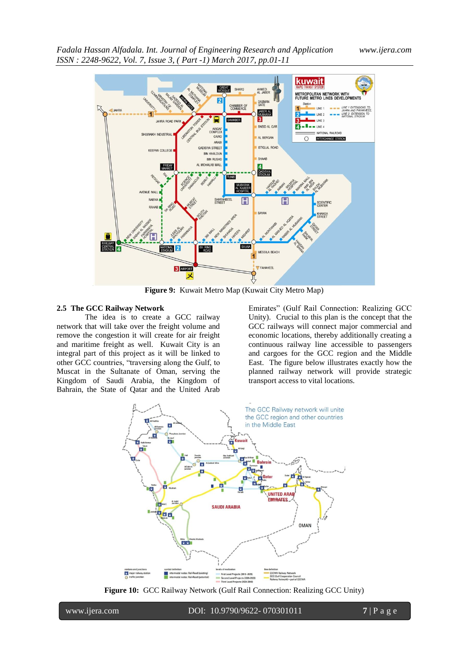

**Figure 9:** Kuwait Metro Map (Kuwait City Metro Map)

### **2.5 The GCC Railway Network**

The idea is to create a GCC railway network that will take over the freight volume and remove the congestion it will create for air freight and maritime freight as well. Kuwait City is an integral part of this project as it will be linked to other GCC countries, "traversing along the Gulf, to Muscat in the Sultanate of Oman, serving the Kingdom of Saudi Arabia, the Kingdom of Bahrain, the State of Qatar and the United Arab

Emirates" (Gulf Rail Connection: Realizing GCC Unity). Crucial to this plan is the concept that the GCC railways will connect major commercial and economic locations, thereby additionally creating a continuous railway line accessible to passengers and cargoes for the GCC region and the Middle East. The figure below illustrates exactly how the planned railway network will provide strategic transport access to vital locations.



**Figure 10:** GCC Railway Network (Gulf Rail Connection: Realizing GCC Unity)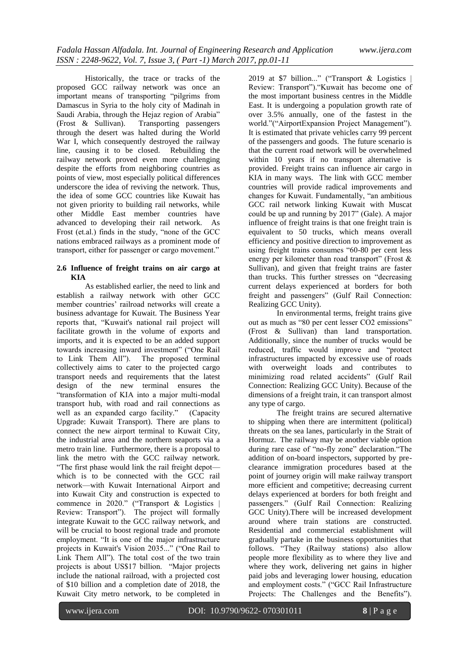Historically, the trace or tracks of the proposed GCC railway network was once an important means of transporting "pilgrims from Damascus in Syria to the holy city of Madinah in Saudi Arabia, through the Hejaz region of Arabia" (Frost & Sullivan). Transporting passengers through the desert was halted during the World War I, which consequently destroyed the railway line, causing it to be closed. Rebuilding the railway network proved even more challenging despite the efforts from neighboring countries as points of view, most especially political differences underscore the idea of reviving the network. Thus, the idea of some GCC countries like Kuwait has not given priority to building rail networks, while other Middle East member countries have advanced to developing their rail network. As Frost (et.al.) finds in the study, "none of the GCC nations embraced railways as a prominent mode of transport, either for passenger or cargo movement."

### **2.6 Influence of freight trains on air cargo at KIA**

As established earlier, the need to link and establish a railway network with other GCC member countries' railroad networks will create a business advantage for Kuwait. The Business Year reports that, "Kuwait's national rail project will facilitate growth in the volume of exports and imports, and it is expected to be an added support towards increasing inward investment" ("One Rail to Link Them All"). The proposed terminal collectively aims to cater to the projected cargo transport needs and requirements that the latest design of the new terminal ensures the ―transformation of KIA into a major multi-modal transport hub, with road and rail connections as well as an expanded cargo facility." (Capacity Upgrade: Kuwait Transport). There are plans to connect the new airport terminal to Kuwait City, the industrial area and the northern seaports via a metro train line. Furthermore, there is a proposal to link the metro with the GCC railway network. ―The first phase would link the rail freight depot which is to be connected with the GCC rail network—with Kuwait International Airport and into Kuwait City and construction is expected to commence in 2020." ("Transport  $&$  Logistics  $\vert$ Review: Transport"). The project will formally integrate Kuwait to the GCC railway network, and will be crucial to boost regional trade and promote employment. "It is one of the major infrastructure projects in Kuwait's Vision 2035..." ("One Rail to Link Them All"). The total cost of the two train projects is about US\$17 billion. "Major projects include the national railroad, with a projected cost of \$10 billion and a completion date of 2018, the Kuwait City metro network, to be completed in

2019 at \$7 billion..." ("Transport  $&$  Logistics Review: Transport"). "Kuwait has become one of the most important business centres in the Middle East. It is undergoing a population growth rate of over 3.5% annually, one of the fastest in the world."("AirportExpansion Project Management"). It is estimated that private vehicles carry 99 percent of the passengers and goods. The future scenario is that the current road network will be overwhelmed within 10 years if no transport alternative is provided. Freight trains can influence air cargo in KIA in many ways. The link with GCC member countries will provide radical improvements and changes for Kuwait. Fundamentally, "an ambitious GCC rail network linking Kuwait with Muscat could be up and running by  $2017$ " (Gale). A major influence of freight trains is that one freight train is equivalent to 50 trucks, which means overall efficiency and positive direction to improvement as using freight trains consumes "60-80 per cent less energy per kilometer than road transport" (Frost  $\&$ Sullivan), and given that freight trains are faster than trucks. This further stresses on "decreasing current delays experienced at borders for both freight and passengers" (Gulf Rail Connection: Realizing GCC Unity).

In environmental terms, freight trains give out as much as "80 per cent lesser CO2 emissions" (Frost & Sullivan) than land transportation. Additionally, since the number of trucks would be reduced, traffic would improve and "protect infrastructures impacted by excessive use of roads with overweight loads and contributes to minimizing road related accidents" (Gulf Rail Connection: Realizing GCC Unity). Because of the dimensions of a freight train, it can transport almost any type of cargo.

The freight trains are secured alternative to shipping when there are intermittent (political) threats on the sea lanes, particularly in the Strait of Hormuz. The railway may be another viable option during rare case of "no-fly zone" declaration. "The addition of on-board inspectors, supported by preclearance immigration procedures based at the point of journey origin will make railway transport more efficient and competitive; decreasing current delays experienced at borders for both freight and passengers." (Gulf Rail Connection: Realizing GCC Unity).There will be increased development around where train stations are constructed. Residential and commercial establishment will gradually partake in the business opportunities that follows. "They (Railway stations) also allow people more flexibility as to where they live and where they work, delivering net gains in higher paid jobs and leveraging lower housing, education and employment costs." ("GCC Rail Infrastructure Projects: The Challenges and the Benefits").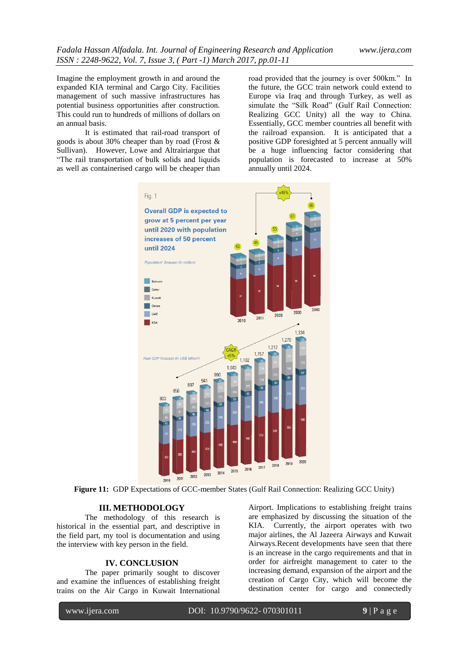Imagine the employment growth in and around the expanded KIA terminal and Cargo City. Facilities management of such massive infrastructures has potential business opportunities after construction. This could run to hundreds of millions of dollars on an annual basis.

It is estimated that rail-road transport of goods is about 30% cheaper than by road (Frost & Sullivan). However, Lowe and Altrairiargue that ―The rail transportation of bulk solids and liquids as well as containerised cargo will be cheaper than

road provided that the journey is over 500km." In the future, the GCC train network could extend to Europe via Iraq and through Turkey, as well as simulate the "Silk Road" (Gulf Rail Connection: Realizing GCC Unity) all the way to China. Essentially, GCC member countries all benefit with the railroad expansion. It is anticipated that a positive GDP foresighted at 5 percent annually will be a huge influencing factor considering that population is forecasted to increase at 50% annually until 2024.



**Figure 11:** GDP Expectations of GCC-member States (Gulf Rail Connection: Realizing GCC Unity)

### **III. METHODOLOGY**

The methodology of this research is historical in the essential part, and descriptive in the field part, my tool is documentation and using the interview with key person in the field.

### **IV. CONCLUSION**

The paper primarily sought to discover and examine the influences of establishing freight trains on the Air Cargo in Kuwait International Airport. Implications to establishing freight trains are emphasized by discussing the situation of the KIA. Currently, the airport operates with two major airlines, the Al Jazeera Airways and Kuwait Airways.Recent developments have seen that there is an increase in the cargo requirements and that in order for airfreight management to cater to the increasing demand, expansion of the airport and the creation of Cargo City, which will become the destination center for cargo and connectedly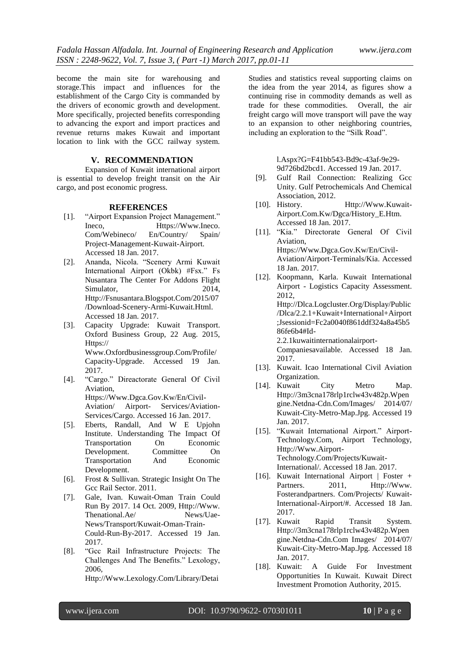become the main site for warehousing and storage.This impact and influences for the establishment of the Cargo City is commanded by the drivers of economic growth and development. More specifically, projected benefits corresponding to advancing the export and import practices and revenue returns makes Kuwait and important location to link with the GCC railway system.

### **V. RECOMMENDATION**

Expansion of Kuwait international airport is essential to develop freight transit on the Air cargo, and post economic progress.

#### **REFERENCES**

- [1]. "Airport Expansion Project Management." Ineco, Https://Www.Ineco. Com/Webineco/ En/Country/ Spain/ Project-Management-Kuwait-Airport. Accessed 18 Jan. 2017.
- [2]. Ananda, Nicola. "Scenery Armi Kuwait International Airport (Okbk) #Fsx." Fs Nusantara The Center For Addons Flight Simulator, 2014, Http://Fsnusantara.Blogspot.Com/2015/07 /Download-Scenery-Armi-Kuwait.Html. Accessed 18 Jan. 2017.
- [3]. Capacity Upgrade: Kuwait Transport. Oxford Business Group, 22 Aug. 2015, Https:// Www.Oxfordbusinessgroup.Com/Profile/ Capacity-Upgrade. Accessed 19 Jan. 2017.
- [4]. "Cargo." Direactorate General Of Civil Aviation, Https://Www.Dgca.Gov.Kw/En/Civil-Aviation/ Airport- Services/Aviation-Services/Cargo. Accessed 16 Jan. 2017.
- [5]. Eberts, Randall, And W E Upjohn Institute. Understanding The Impact Of Transportation On Economic Development. Committee On Transportation And Economic Development.
- [6]. Frost & Sullivan. Strategic Insight On The Gcc Rail Sector. 2011.
- [7]. Gale, Ivan. Kuwait-Oman Train Could Run By 2017. 14 Oct. 2009, Http://Www. Thenational.Ae/ News/Uae-News/Transport/Kuwait-Oman-Train-Could-Run-By-2017. Accessed 19 Jan. 2017.
- [8]. "Gee Rail Infrastructure Projects: The Challenges And The Benefits." Lexology, 2006,

Http://Www.Lexology.Com/Library/Detai

Studies and statistics reveal supporting claims on the idea from the year 2014, as figures show a continuing rise in commodity demands as well as trade for these commodities. Overall, the air freight cargo will move transport will pave the way to an expansion to other neighboring countries, including an exploration to the "Silk Road".

> l.Aspx?G=F41bb543-Bd9c-43af-9e29- 9d726bd2bcd1. Accessed 19 Jan. 2017.

- [9]. Gulf Rail Connection: Realizing Gcc Unity. Gulf Petrochemicals And Chemical Association, 2012.
- [10]. History. Http://Www.Kuwait-Airport.Com.Kw/Dgca/History\_E.Htm. Accessed 18 Jan. 2017.
- [11]. "Kia." Directorate General Of Civil Aviation, Https://Www.Dgca.Gov.Kw/En/Civil-Aviation/Airport-Terminals/Kia. Accessed 18 Jan. 2017.
- [12]. Koopmann, Karla. Kuwait International Airport - Logistics Capacity Assessment. 2012, Http://Dlca.Logcluster.Org/Display/Public /Dlca/2.2.1+Kuwait+International+Airport ;Jsessionid=Fc2a0040f861ddf324a8a45b5 86fe6b4#Id-2.2.1kuwaitinternationalairport-Companiesavailable. Accessed 18 Jan. 2017.
- [13]. Kuwait. Icao International Civil Aviation Organization.
- [14]. Kuwait City Metro Map. Http://3m3cna178rlp1rclw43v482p.Wpen gine.Netdna-Cdn.Com/Images/ 2014/07/ Kuwait-City-Metro-Map.Jpg. Accessed 19 Jan. 2017.
- [15]. "Kuwait International Airport." Airport-Technology.Com, Airport Technology, Http://Www.Airport-Technology.Com/Projects/Kuwait-International/. Accessed 18 Jan. 2017.
- [16]. Kuwait International Airport | Foster + Partners. 2011, Http://Www. Fosterandpartners. Com/Projects/ Kuwait-International-Airport/#. Accessed 18 Jan. 2017.
- [17]. Kuwait Rapid Transit System. Http://3m3cna178rlp1rclw43v482p.Wpen gine.Netdna-Cdn.Com Images/ 2014/07/ Kuwait-City-Metro-Map.Jpg. Accessed 18 Jan. 2017.
- [18]. Kuwait: A Guide For Investment Opportunities In Kuwait. Kuwait Direct Investment Promotion Authority, 2015.